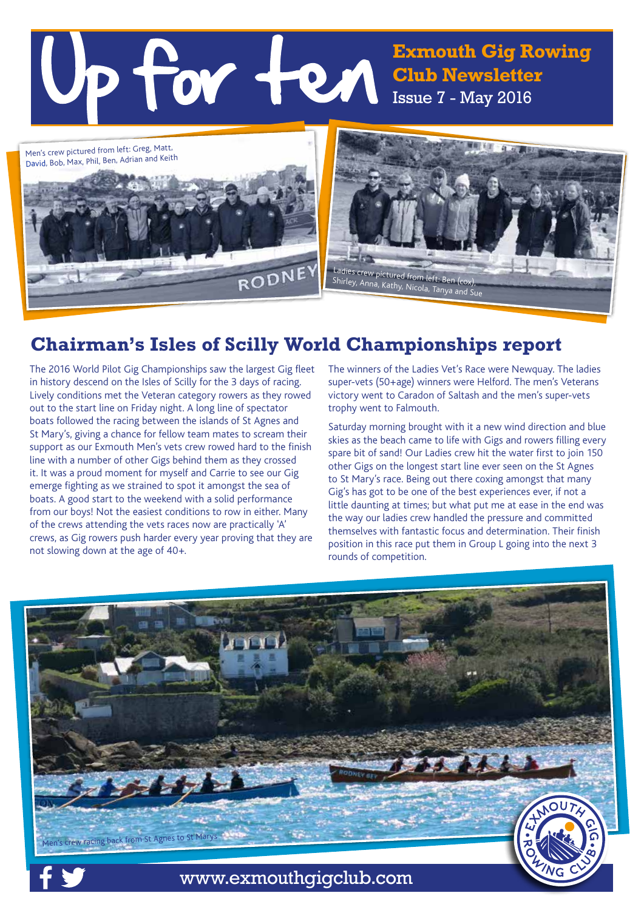**Exmouth Gig Rowing Club Newsletter** Issue 7 - May 2016



# **Chairman's Isles of Scilly World Championships report**

The 2016 World Pilot Gig Championships saw the largest Gig fleet in history descend on the Isles of Scilly for the 3 days of racing. Lively conditions met the Veteran category rowers as they rowed out to the start line on Friday night. A long line of spectator boats followed the racing between the islands of St Agnes and St Mary's, giving a chance for fellow team mates to scream their support as our Exmouth Men's vets crew rowed hard to the finish line with a number of other Gigs behind them as they crossed it. It was a proud moment for myself and Carrie to see our Gig emerge fighting as we strained to spot it amongst the sea of boats. A good start to the weekend with a solid performance from our boys! Not the easiest conditions to row in either. Many of the crews attending the vets races now are practically 'A' crews, as Gig rowers push harder every year proving that they are not slowing down at the age of 40+.

The winners of the Ladies Vet's Race were Newquay. The ladies super-vets (50+age) winners were Helford. The men's Veterans victory went to Caradon of Saltash and the men's super-vets trophy went to Falmouth.

Saturday morning brought with it a new wind direction and blue skies as the beach came to life with Gigs and rowers filling every spare bit of sand! Our Ladies crew hit the water first to join 150 other Gigs on the longest start line ever seen on the St Agnes to St Mary's race. Being out there coxing amongst that many Gig's has got to be one of the best experiences ever, if not a little daunting at times; but what put me at ease in the end was the way our ladies crew handled the pressure and committed themselves with fantastic focus and determination. Their finish position in this race put them in Group L going into the next 3 rounds of competition.

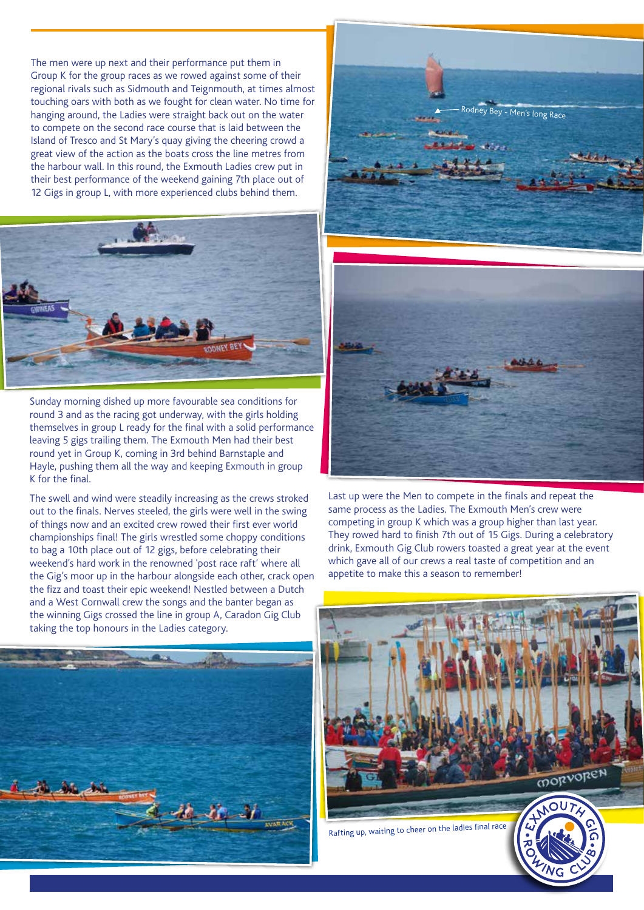The men were up next and their performance put them in Group K for the group races as we rowed against some of their regional rivals such as Sidmouth and Teignmouth, at times almost touching oars with both as we fought for clean water. No time for hanging around, the Ladies were straight back out on the water to compete on the second race course that is laid between the Island of Tresco and St Mary's quay giving the cheering crowd a great view of the action as the boats cross the line metres from the harbour wall. In this round, the Exmouth Ladies crew put in their best performance of the weekend gaining 7th place out of 12 Gigs in group L, with more experienced clubs behind them.



Sunday morning dished up more favourable sea conditions for round 3 and as the racing got underway, with the girls holding themselves in group L ready for the final with a solid performance leaving 5 gigs trailing them. The Exmouth Men had their best round yet in Group K, coming in 3rd behind Barnstaple and Hayle, pushing them all the way and keeping Exmouth in group K for the final.

The swell and wind were steadily increasing as the crews stroked out to the finals. Nerves steeled, the girls were well in the swing of things now and an excited crew rowed their first ever world championships final! The girls wrestled some choppy conditions to bag a 10th place out of 12 gigs, before celebrating their weekend's hard work in the renowned 'post race raft' where all the Gig's moor up in the harbour alongside each other, crack open the fizz and toast their epic weekend! Nestled between a Dutch and a West Cornwall crew the songs and the banter began as the winning Gigs crossed the line in group A, Caradon Gig Club taking the top honours in the Ladies category.







Last up were the Men to compete in the finals and repeat the same process as the Ladies. The Exmouth Men's crew were competing in group K which was a group higher than last year. They rowed hard to finish 7th out of 15 Gigs. During a celebratory drink, Exmouth Gig Club rowers toasted a great year at the event which gave all of our crews a real taste of competition and an appetite to make this a season to remember!

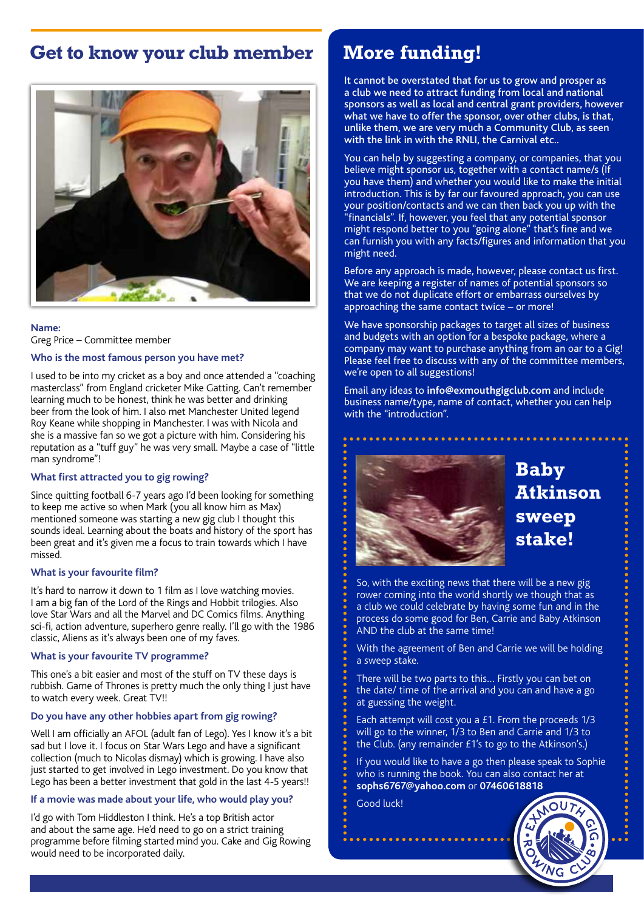# **Get to know your club member**



### **Name:** Greg Price – Committee member

#### **Who is the most famous person you have met?**

I used to be into my cricket as a boy and once attended a "coaching masterclass" from England cricketer Mike Gatting. Can't remember learning much to be honest, think he was better and drinking beer from the look of him. I also met Manchester United legend Roy Keane while shopping in Manchester. I was with Nicola and she is a massive fan so we got a picture with him. Considering his reputation as a "tuff guy" he was very small. Maybe a case of "little man syndrome"!

#### **What first attracted you to gig rowing?**

Since quitting football 6-7 years ago I'd been looking for something to keep me active so when Mark (you all know him as Max) mentioned someone was starting a new gig club I thought this sounds ideal. Learning about the boats and history of the sport has been great and it's given me a focus to train towards which I have missed.

#### **What is your favourite film?**

It's hard to narrow it down to 1 film as I love watching movies. I am a big fan of the Lord of the Rings and Hobbit trilogies. Also love Star Wars and all the Marvel and DC Comics films. Anything sci-fi, action adventure, superhero genre really. I'll go with the 1986 classic, Aliens as it's always been one of my faves.

#### **What is your favourite TV programme?**

This one's a bit easier and most of the stuff on TV these days is rubbish. Game of Thrones is pretty much the only thing I just have to watch every week. Great TV!!

### **Do you have any other hobbies apart from gig rowing?**

Well I am officially an AFOL (adult fan of Lego). Yes I know it's a bit sad but I love it. I focus on Star Wars Lego and have a significant collection (much to Nicolas dismay) which is growing. I have also just started to get involved in Lego investment. Do you know that Lego has been a better investment that gold in the last 4-5 years!!

#### **If a movie was made about your life, who would play you?**

I'd go with Tom Hiddleston I think. He's a top British actor and about the same age. He'd need to go on a strict training programme before filming started mind you. Cake and Gig Rowing would need to be incorporated daily.

### **More funding!**

It cannot be overstated that for us to grow and prosper as a club we need to attract funding from local and national sponsors as well as local and central grant providers, however what we have to offer the sponsor, over other clubs, is that, unlike them, we are very much a Community Club, as seen with the link in with the RNLI, the Carnival etc..

You can help by suggesting a company, or companies, that you believe might sponsor us, together with a contact name/s (If you have them) and whether you would like to make the initial introduction. This is by far our favoured approach, you can use your position/contacts and we can then back you up with the "financials". If, however, you feel that any potential sponsor might respond better to you "going alone" that's fine and we can furnish you with any facts/figures and information that you might need.

Before any approach is made, however, please contact us first. We are keeping a register of names of potential sponsors so that we do not duplicate effort or embarrass ourselves by approaching the same contact twice – or more!

We have sponsorship packages to target all sizes of business and budgets with an option for a bespoke package, where a company may want to purchase anything from an oar to a Gig! Please feel free to discuss with any of the committee members, we're open to all suggestions!

Email any ideas to **info@exmouthgigclub.com** and include business name/type, name of contact, whether you can help with the "introduction".



# **Baby Atkinson sweep stake!**

So, with the exciting news that there will be a new gig rower coming into the world shortly we though that as a club we could celebrate by having some fun and in the process do some good for Ben, Carrie and Baby Atkinson AND the club at the same time!

With the agreement of Ben and Carrie we will be holding a sweep stake.

There will be two parts to this… Firstly you can bet on the date/ time of the arrival and you can and have a go at guessing the weight.

Each attempt will cost you a £1. From the proceeds 1/3 will go to the winner, 1/3 to Ben and Carrie and 1/3 to the Club. (any remainder £1's to go to the Atkinson's.)

If you would like to have a go then please speak to Sophie who is running the book. You can also contact her at **sophs6767@yahoo.com** or **07460618818**

Good luck!